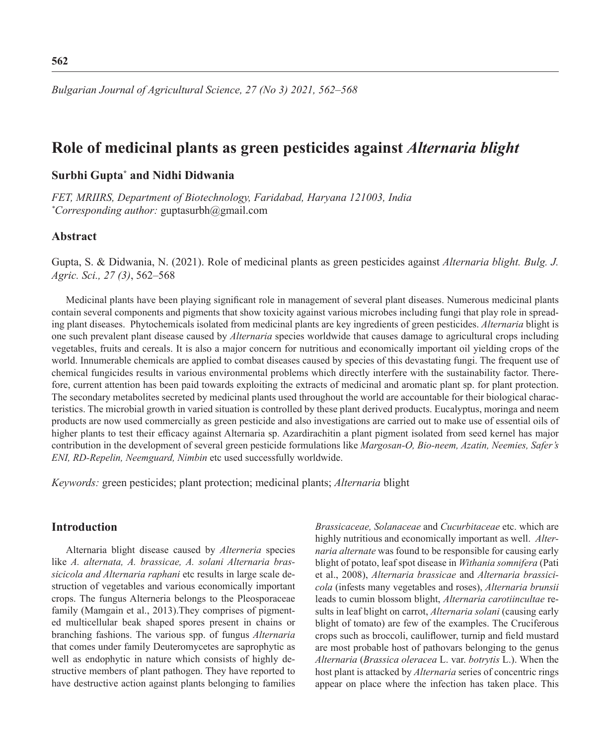# **Role of medicinal plants as green pesticides against** *Alternaria blight*

# **Surbhi Gupta\* and Nidhi Didwania**

*FET, MRIIRS, Department of Biotechnology, Faridabad, Haryana 121003, India \* Corresponding author:* guptasurbh@gmail.com

### **Abstract**

Gupta, S. & Didwania, N. (2021). Role of medicinal plants as green pesticides against *Alternaria blight. Bulg. J. Agric. Sci., 27 (3)*, 562–568

Medicinal plants have been playing significant role in management of several plant diseases. Numerous medicinal plants contain several components and pigments that show toxicity against various microbes including fungi that play role in spreading plant diseases. Phytochemicals isolated from medicinal plants are key ingredients of green pesticides. *Alternaria* blight is one such prevalent plant disease caused by *Alternaria* species worldwide that causes damage to agricultural crops including vegetables, fruits and cereals. It is also a major concern for nutritious and economically important oil yielding crops of the world. Innumerable chemicals are applied to combat diseases caused by species of this devastating fungi. The frequent use of chemical fungicides results in various environmental problems which directly interfere with the sustainability factor. Therefore, current attention has been paid towards exploiting the extracts of medicinal and aromatic plant sp. for plant protection. The secondary metabolites secreted by medicinal plants used throughout the world are accountable for their biological characteristics. The microbial growth in varied situation is controlled by these plant derived products. Eucalyptus, moringa and neem products are now used commercially as green pesticide and also investigations are carried out to make use of essential oils of higher plants to test their efficacy against Alternaria sp. Azardirachitin a plant pigment isolated from seed kernel has major contribution in the development of several green pesticide formulations like *Margosan-O, Bio-neem, Azatin, Neemies, Safer's ENI, RD-Repelin, Neemguard, Nimbin* etc used successfully worldwide.

*Keywords:* green pesticides; plant protection; medicinal plants; *Alternaria* blight

# **Introduction**

Alternaria blight disease caused by *Alterneria* species like *A. alternata, A. brassicae, A. solani Alternaria brassicicola and Alternaria raphani* etc results in large scale destruction of vegetables and various economically important crops. The fungus Alterneria belongs to the Pleosporaceae family (Mamgain et al., 2013).They comprises of pigmented multicellular beak shaped spores present in chains or branching fashions. The various spp. of fungus *Alternaria* that comes under family Deuteromycetes are saprophytic as well as endophytic in nature which consists of highly destructive members of plant pathogen. They have reported to have destructive action against plants belonging to families *Brassicaceae, Solanaceae* and *Cucurbitaceae* etc. which are highly nutritious and economically important as well. *Alternaria alternate* was found to be responsible for causing early blight of potato, leaf spot disease in *Withania somnifera* (Pati et al., 2008), *Alternaria brassicae* and *Alternaria brassicicola* (infests many vegetables and roses), *Alternaria brunsii* leads to cumin blossom blight, *Alternaria carotiincultae* results in leaf blight on carrot, *Alternaria solani* (causing early blight of tomato) are few of the examples. The Cruciferous crops such as broccoli, cauliflower, turnip and field mustard are most probable host of pathovars belonging to the genus *Alternaria* (*Brassica oleracea* L. var. *botrytis* L.). When the host plant is attacked by *Alternaria* series of concentric rings appear on place where the infection has taken place. This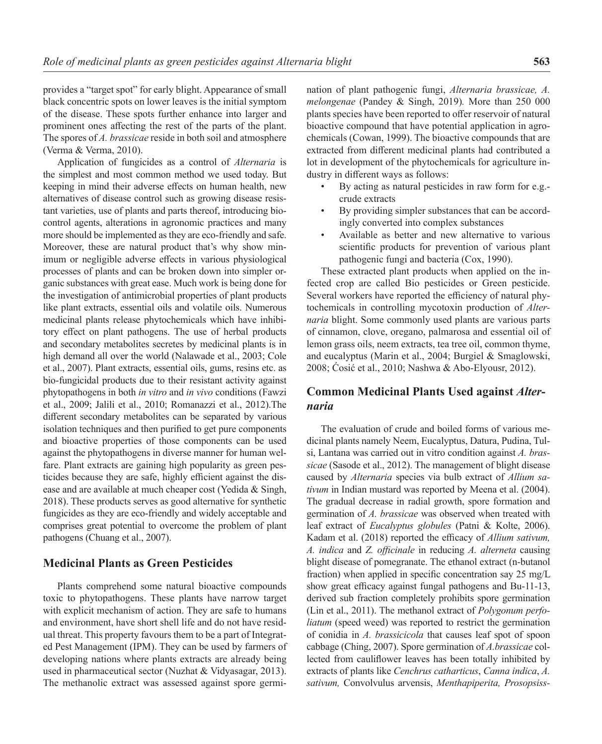provides a "target spot" for early blight. Appearance of small black concentric spots on lower leaves is the initial symptom of the disease. These spots further enhance into larger and prominent ones affecting the rest of the parts of the plant. The spores of *A. brassicae* reside in both soil and atmosphere (Verma & Verma, 2010).

Application of fungicides as a control of *Alternaria* is the simplest and most common method we used today. But keeping in mind their adverse effects on human health, new alternatives of disease control such as growing disease resistant varieties, use of plants and parts thereof, introducing biocontrol agents, alterations in agronomic practices and many more should be implemented as they are eco-friendly and safe. Moreover, these are natural product that's why show minimum or negligible adverse effects in various physiological processes of plants and can be broken down into simpler organic substances with great ease. Much work is being done for the investigation of antimicrobial properties of plant products like plant extracts, essential oils and volatile oils. Numerous medicinal plants release phytochemicals which have inhibitory effect on plant pathogens. The use of herbal products and secondary metabolites secretes by medicinal plants is in high demand all over the world (Nalawade et al., 2003; Cole et al., 2007). Plant extracts, essential oils, gums, resins etc. as bio-fungicidal products due to their resistant activity against phytopathogens in both *in vitro* and *in vivo* conditions (Fawzi et al., 2009; Jalili et al., 2010; Romanazzi et al., 2012).The different secondary metabolites can be separated by various isolation techniques and then purified to get pure components and bioactive properties of those components can be used against the phytopathogens in diverse manner for human welfare. Plant extracts are gaining high popularity as green pesticides because they are safe, highly efficient against the disease and are available at much cheaper cost (Yedida & Singh, 2018). These products serves as good alternative for synthetic fungicides as they are eco-friendly and widely acceptable and comprises great potential to overcome the problem of plant pathogens (Chuang et al., 2007).

# **Medicinal Plants as Green Pesticides**

Plants comprehend some natural bioactive compounds toxic to phytopathogens. These plants have narrow target with explicit mechanism of action. They are safe to humans and environment, have short shell life and do not have residual threat. This property favours them to be a part of Integrated Pest Management (IPM). They can be used by farmers of developing nations where plants extracts are already being used in pharmaceutical sector (Nuzhat & Vidyasagar, 2013). The methanolic extract was assessed against spore germi-

nation of plant pathogenic fungi, *Alternaria brassicae, A. melongenae* (Pandey & Singh, 2019)*.* More than 250 000 plants species have been reported to offer reservoir of natural bioactive compound that have potential application in agrochemicals (Cowan, 1999). The bioactive compounds that are extracted from different medicinal plants had contributed a lot in development of the phytochemicals for agriculture industry in different ways as follows:

- By acting as natural pesticides in raw form for e.g. crude extracts
- By providing simpler substances that can be accordingly converted into complex substances
- Available as better and new alternative to various scientific products for prevention of various plant pathogenic fungi and bacteria (Cox, 1990).

These extracted plant products when applied on the infected crop are called Bio pesticides or Green pesticide. Several workers have reported the efficiency of natural phytochemicals in controlling mycotoxin production of *Alternaria* blight. Some commonly used plants are various parts of cinnamon, clove, oregano, palmarosa and essential oil of lemon grass oils, neem extracts, tea tree oil, common thyme, and eucalyptus (Marin et al., 2004; Burgiel & Smaglowski, 2008; Ćosić et al., 2010; Nashwa & Abo-Elyousr, 2012).

# **Common Medicinal Plants Used against** *Alternaria*

The evaluation of crude and boiled forms of various medicinal plants namely Neem, Eucalyptus, Datura, Pudina, Tulsi, Lantana was carried out in vitro condition against *A. brassicae* (Sasode et al., 2012). The management of blight disease caused by *Alternaria* species via bulb extract of *Allium sativum* in Indian mustard was reported by Meena et al. (2004). The gradual decrease in radial growth, spore formation and germination of *A. brassicae* was observed when treated with leaf extract of *Eucalyptus globules* (Patni & Kolte, 2006). Kadam et al. (2018) reported the efficacy of *Allium sativum, A. indica* and *Z. officinale* in reducing *A. alterneta* causing blight disease of pomegranate. The ethanol extract (n-butanol fraction) when applied in specific concentration say 25 mg/L show great efficacy against fungal pathogens and Bu-11-13, derived sub fraction completely prohibits spore germination (Lin et al., 2011). The methanol extract of *Polygonum perfoliatum* (speed weed) was reported to restrict the germination of conidia in *A. brassicicola* that causes leaf spot of spoon cabbage (Ching, 2007). Spore germination of *A.brassicae* collected from cauliflower leaves has been totally inhibited by extracts of plants like *Cenchrus catharticus*, *Canna indica*, *A. sativum,* Convolvulus arvensis, *Menthapiperita, Prosopsiss-*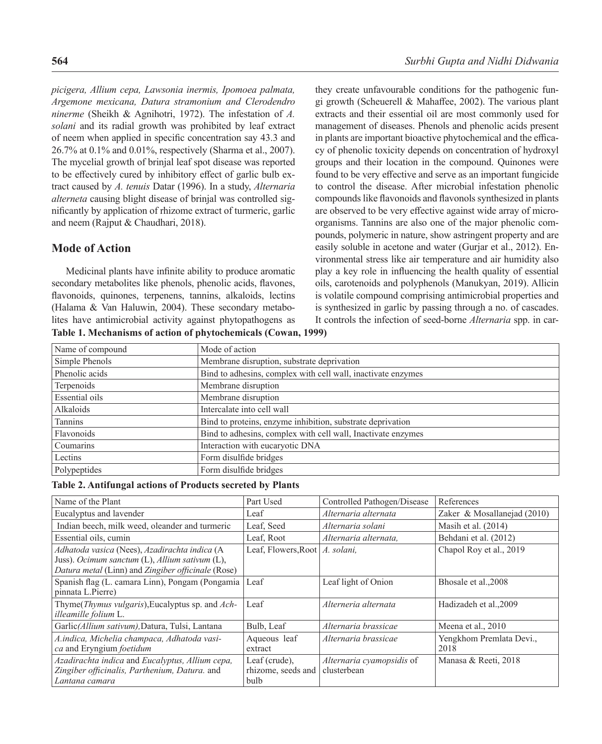*picigera, Allium cepa, Lawsonia inermis, Ipomoea palmata, Argemone mexicana, Datura stramonium and Clerodendro ninerme* (Sheikh & Agnihotri, 1972). The infestation of *A. solani* and its radial growth was prohibited by leaf extract of neem when applied in specific concentration say 43.3 and 26.7% at 0.1% and 0.01%, respectively (Sharma et al., 2007). The mycelial growth of brinjal leaf spot disease was reported to be effectively cured by inhibitory effect of garlic bulb extract caused by *A. tenuis* Datar (1996). In a study, *Alternaria alterneta* causing blight disease of brinjal was controlled significantly by application of rhizome extract of turmeric, garlic and neem (Rajput & Chaudhari, 2018).

### **Mode of Action**

Medicinal plants have infinite ability to produce aromatic secondary metabolites like phenols, phenolic acids, flavones, flavonoids, quinones, terpenens, tannins, alkaloids, lectins (Halama & Van Haluwin, 2004). These secondary metabolites have antimicrobial activity against phytopathogens as **Table 1. Mechanisms of action of phytochemicals (Cowan, 1999)**

they create unfavourable conditions for the pathogenic fungi growth (Scheuerell & Mahaffee, 2002). The various plant extracts and their essential oil are most commonly used for management of diseases. Phenols and phenolic acids present in plants are important bioactive phytochemical and the efficacy of phenolic toxicity depends on concentration of hydroxyl groups and their location in the compound. Quinones were found to be very effective and serve as an important fungicide to control the disease. After microbial infestation phenolic compounds like flavonoids and flavonols synthesized in plants are observed to be very effective against wide array of microorganisms. Tannins are also one of the major phenolic compounds, polymeric in nature, show astringent property and are easily soluble in acetone and water (Gurjar et al., 2012). Environmental stress like air temperature and air humidity also play a key role in influencing the health quality of essential oils, carotenoids and polyphenols (Manukyan, 2019). Allicin is volatile compound comprising antimicrobial properties and is synthesized in garlic by passing through a no. of cascades. It controls the infection of seed-borne *Alternaria* spp. in car-

| Name of compound      | Mode of action                                               |  |  |
|-----------------------|--------------------------------------------------------------|--|--|
| Simple Phenols        | Membrane disruption, substrate deprivation                   |  |  |
| Phenolic acids        | Bind to adhesins, complex with cell wall, inactivate enzymes |  |  |
| Terpenoids            | Membrane disruption                                          |  |  |
| <b>Essential oils</b> | Membrane disruption                                          |  |  |
| Alkaloids             | Intercalate into cell wall                                   |  |  |
| Tannins               | Bind to proteins, enzyme inhibition, substrate deprivation   |  |  |
| Flavonoids            | Bind to adhesins, complex with cell wall, Inactivate enzymes |  |  |
| Coumarins             | Interaction with eucaryotic DNA                              |  |  |
| Lectins               | Form disulfide bridges                                       |  |  |
| Polypeptides          | Form disulfide bridges                                       |  |  |

**Table 2. Antifungal actions of Products secreted by Plants**

| Name of the Plant                                                                                                                                     | Part Used                                   | Controlled Pathogen/Disease                     | References                       |
|-------------------------------------------------------------------------------------------------------------------------------------------------------|---------------------------------------------|-------------------------------------------------|----------------------------------|
| Eucalyptus and lavender                                                                                                                               | Leaf                                        | Alternaria alternata                            | Zaker & Mosallanejad (2010)      |
| Indian beech, milk weed, oleander and turmeric                                                                                                        | Leaf, Seed                                  | Alternaria solani                               | Masih et al. $(2014)$            |
| Essential oils, cumin                                                                                                                                 | Leaf, Root                                  | Alternaria alternata,                           | Behdani et al. (2012)            |
| Adhatoda vasica (Nees), Azadirachta indica (A<br>Juss). Ocimum sanctum (L), Allium sativum (L),<br>Datura metal (Linn) and Zingiber officinale (Rose) | Leaf, Flowers, Root   A. solani,            |                                                 | Chapol Roy et al., 2019          |
| Spanish flag (L. camara Linn), Pongam (Pongamia<br>pinnata L.Pierre)                                                                                  | Leaf                                        | Leaf light of Onion                             | Bhosale et al., 2008             |
| Thyme( <i>Thymus vulgaris</i> ), Eucalyptus sp. and <i>Ach</i> -<br>illeamille folium L.                                                              | Leaf                                        | Alterneria alternata                            | Hadizadeh et al., 2009           |
| Garlic(Allium sativum), Datura, Tulsi, Lantana                                                                                                        | Bulb, Leaf                                  | Alternaria brassicae                            | Meena et al., 2010               |
| A.indica, Michelia champaca, Adhatoda vasi-<br>ca and Eryngium foetidum                                                                               | Aqueous leaf<br>extract                     | Alternaria brassicae                            | Yengkhom Premlata Devi.,<br>2018 |
| Azadirachta indica and Eucalyptus, Allium cepa,<br>Zingiber officinalis, Parthenium, Datura. and<br>Lantana camara                                    | Leaf (crude),<br>rhizome, seeds and<br>bulb | <i>Alternaria cyamopsidis</i> of<br>clusterbean | Manasa & Reeti, 2018             |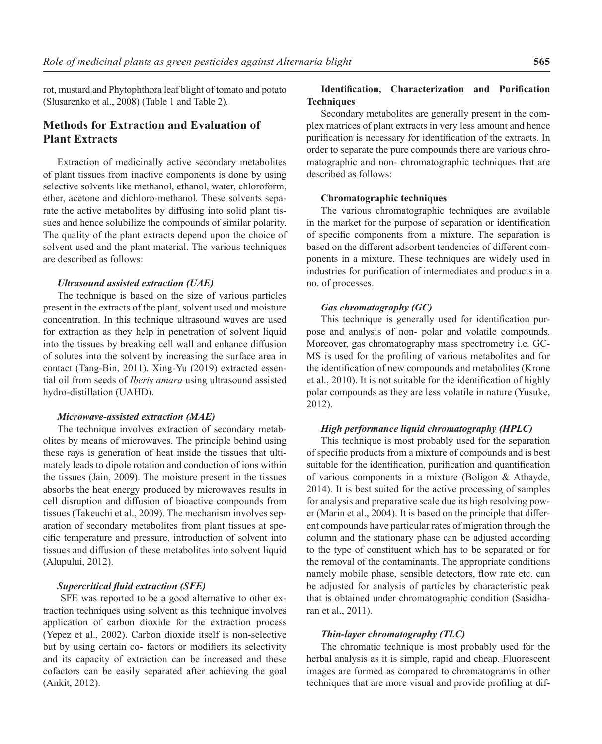rot, mustard and Phytophthora leaf blight of tomato and potato (Slusarenko et al., 2008) (Table 1 and Table 2).

# **Methods for Extraction and Evaluation of Plant Extracts**

Extraction of medicinally active secondary metabolites of plant tissues from inactive components is done by using selective solvents like methanol, ethanol, water, chloroform, ether, acetone and dichloro-methanol. These solvents separate the active metabolites by diffusing into solid plant tissues and hence solubilize the compounds of similar polarity. The quality of the plant extracts depend upon the choice of solvent used and the plant material. The various techniques are described as follows:

### *Ultrasound assisted extraction (UAE)*

The technique is based on the size of various particles present in the extracts of the plant, solvent used and moisture concentration. In this technique ultrasound waves are used for extraction as they help in penetration of solvent liquid into the tissues by breaking cell wall and enhance diffusion of solutes into the solvent by increasing the surface area in contact (Tang-Bin, 2011). Xing-Yu (2019) extracted essential oil from seeds of *Iberis amara* using ultrasound assisted hydro-distillation (UAHD).

#### *Microwave-assisted extraction (MAE)*

The technique involves extraction of secondary metabolites by means of microwaves. The principle behind using these rays is generation of heat inside the tissues that ultimately leads to dipole rotation and conduction of ions within the tissues (Jain, 2009). The moisture present in the tissues absorbs the heat energy produced by microwaves results in cell disruption and diffusion of bioactive compounds from tissues (Takeuchi et al., 2009). The mechanism involves separation of secondary metabolites from plant tissues at specific temperature and pressure, introduction of solvent into tissues and diffusion of these metabolites into solvent liquid (Alupului, 2012).

#### *Supercritical fluid extraction (SFE)*

 SFE was reported to be a good alternative to other extraction techniques using solvent as this technique involves application of carbon dioxide for the extraction process (Yepez et al., 2002). Carbon dioxide itself is non-selective but by using certain co- factors or modifiers its selectivity and its capacity of extraction can be increased and these cofactors can be easily separated after achieving the goal (Ankit, 2012).

### **Identification, Characterization and Purification Techniques**

Secondary metabolites are generally present in the complex matrices of plant extracts in very less amount and hence purification is necessary for identification of the extracts. In order to separate the pure compounds there are various chromatographic and non- chromatographic techniques that are described as follows:

### **Chromatographic techniques**

The various chromatographic techniques are available in the market for the purpose of separation or identification of specific components from a mixture. The separation is based on the different adsorbent tendencies of different components in a mixture. These techniques are widely used in industries for purification of intermediates and products in a no. of processes.

### *Gas chromatography (GC)*

This technique is generally used for identification purpose and analysis of non- polar and volatile compounds. Moreover, gas chromatography mass spectrometry i.e. GC-MS is used for the profiling of various metabolites and for the identification of new compounds and metabolites (Krone et al., 2010). It is not suitable for the identification of highly polar compounds as they are less volatile in nature (Yusuke, 2012).

### *High performance liquid chromatography (HPLC)*

This technique is most probably used for the separation of specific products from a mixture of compounds and is best suitable for the identification, purification and quantification of various components in a mixture (Boligon & Athayde, 2014). It is best suited for the active processing of samples for analysis and preparative scale due its high resolving power (Marin et al., 2004). It is based on the principle that different compounds have particular rates of migration through the column and the stationary phase can be adjusted according to the type of constituent which has to be separated or for the removal of the contaminants. The appropriate conditions namely mobile phase, sensible detectors, flow rate etc. can be adjusted for analysis of particles by characteristic peak that is obtained under chromatographic condition (Sasidharan et al., 2011).

### *Thin-layer chromatography (TLC)*

The chromatic technique is most probably used for the herbal analysis as it is simple, rapid and cheap. Fluorescent images are formed as compared to chromatograms in other techniques that are more visual and provide profiling at dif-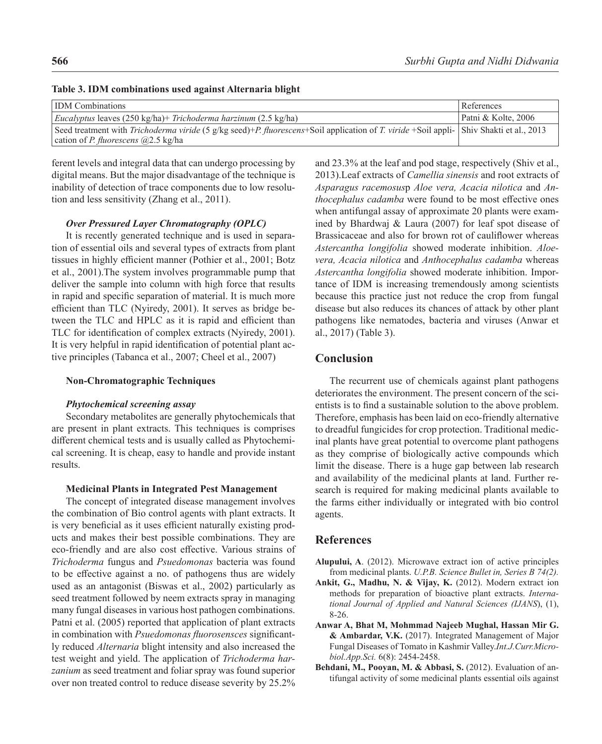| <b>IDM</b> Combinations                                                                                                                 | References          |
|-----------------------------------------------------------------------------------------------------------------------------------------|---------------------|
| <i>Eucalyptus</i> leaves (250 kg/ha)+ <i>Trichoderma harzinum</i> (2.5 kg/ha)                                                           | Patni & Kolte, 2006 |
| Seed treatment with Trichoderma viride (5 g/kg seed)+P. fluorescens+Soil application of T. viride +Soil appli- Shiv Shakti et al., 2013 |                     |
| cation of <i>P. fluorescens</i> $(2.5 \text{ kg/ha})$                                                                                   |                     |

### **Table 3. IDM combinations used against Alternaria blight**

ferent levels and integral data that can undergo processing by digital means. But the major disadvantage of the technique is inability of detection of trace components due to low resolution and less sensitivity (Zhang et al., 2011).

### *Over Pressured Layer Chromatography (OPLC)*

It is recently generated technique and is used in separation of essential oils and several types of extracts from plant tissues in highly efficient manner (Pothier et al., 2001; Botz et al., 2001).The system involves programmable pump that deliver the sample into column with high force that results in rapid and specific separation of material. It is much more efficient than TLC (Nyiredy, 2001). It serves as bridge between the TLC and HPLC as it is rapid and efficient than TLC for identification of complex extracts (Nyiredy, 2001). It is very helpful in rapid identification of potential plant active principles (Tabanca et al., 2007; Cheel et al., 2007)

#### **Non-Chromatographic Techniques**

#### *Phytochemical screening assay*

Secondary metabolites are generally phytochemicals that are present in plant extracts. This techniques is comprises different chemical tests and is usually called as Phytochemical screening. It is cheap, easy to handle and provide instant results.

#### **Medicinal Plants in Integrated Pest Management**

The concept of integrated disease management involves the combination of Bio control agents with plant extracts. It is very beneficial as it uses efficient naturally existing products and makes their best possible combinations. They are eco-friendly and are also cost effective. Various strains of *Trichoderma* fungus and *Psuedomonas* bacteria was found to be effective against a no. of pathogens thus are widely used as an antagonist (Biswas et al., 2002) particularly as seed treatment followed by neem extracts spray in managing many fungal diseases in various host pathogen combinations. Patni et al. (2005) reported that application of plant extracts in combination with *Psuedomonas fluorosensces* significantly reduced *Alternaria* blight intensity and also increased the test weight and yield. The application of *Trichoderma harzanium* as seed treatment and foliar spray was found superior over non treated control to reduce disease severity by 25.2%

and 23.3% at the leaf and pod stage, respectively (Shiv et al., 2013).Leaf extracts of *Camellia sinensis* and root extracts of *Asparagus racemosus*р *Aloe vera, Acacia nilotica* and *Anthocephalus cadamba* were found to be most effective ones when antifungal assay of approximate 20 plants were examined by Bhardwaj & Laura (2007) for leaf spot disease of Brassicaceae and also for brown rot of cauliflower whereas *Astercantha longifolia* showed moderate inhibition. *Aloevera, Acacia nilotica* and *Anthocephalus cadamba* whereas *Astercantha longifolia* showed moderate inhibition. Importance of IDM is increasing tremendously among scientists because this practice just not reduce the crop from fungal disease but also reduces its chances of attack by other plant pathogens like nematodes, bacteria and viruses (Anwar et al., 2017) (Table 3).

# **Conclusion**

The recurrent use of chemicals against plant pathogens deteriorates the environment. The present concern of the scientists is to find a sustainable solution to the above problem. Therefore, emphasis has been laid on eco-friendly alternative to dreadful fungicides for crop protection. Traditional medicinal plants have great potential to overcome plant pathogens as they comprise of biologically active compounds which limit the disease. There is a huge gap between lab research and availability of the medicinal plants at land. Further research is required for making medicinal plants available to the farms either individually or integrated with bio control agents.

### **References**

- **Alupului, A**. (2012). Microwave extract ion of active principles from medicinal plants. *U.P.B. Science Bullet in, Series B 74(2).*
- **Ankit, G., Madhu, N. & Vijay, K.** (2012). Modern extract ion methods for preparation of bioactive plant extracts. *International Journal of Applied and Natural Sciences (IJANS*), (1), 8-26.
- **Anwar A, Bhat M, Mohmmad Najeeb Mughal, Hassan Mir G. & Ambardar, V.K.** (2017). Integrated Management of Major Fungal Diseases of Tomato in Kashmir Valley.*Int.J.Curr.Microbiol.App.Sci.* 6(8): 2454-2458.
- **Behdani, M., Pooyan, M. & Abbasi, S.** (2012). Evaluation of antifungal activity of some medicinal plants essential oils against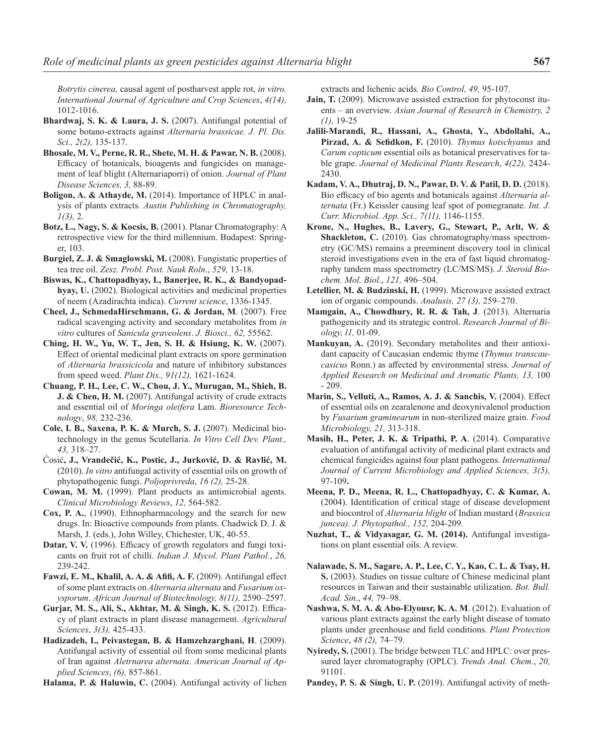*Botrytis cinerea,* causal agent of postharvest apple rot, *in vitro. International Journal of Agriculture and Crop Sciences*, *4(14),* 1012-1016.

- **Bhardwaj, S. K. & Laura, J. S.** (2007). Antifungal potential of some botano-extracts against *Alternaria brassicae. J. Pl. Dis. Sci., 2(2),* 135-137.
- **Bhosale, M. V., Perne, R. R., Shete, M. H. & Pawar, N. B.** (2008). Efficacy of botanicals, bioagents and fungicides on management of leaf blight (Alternariaporri) of onion. *Journal of Plant Disease Sciences, 3,* 88-89.
- **Boligon, A. & Athayde, M.** (2014). Importance of HPLC in analysis of plants extracts*. Austin Publishing in Chromatography, 1(3),* 2.
- **Botz, L., Nagy, S. & Kocsis, B.** (2001). Planar Chromatography: A retrospective view for the third millennium. Budapest: Springer, 103.
- **Burgiel, Z. J. & Smaglowski, M.** (2008). Fungistatic properties of tea tree oil. *Zesz. Probl. Post. Nauk Roln*., *529,* 13-18.
- **Biswas, K., Chattopadhyay, I., Banerjee, R. K., & Bandyopadhyay, U.** (2002). Biological activities and medicinal properties of neem (Azadirachta indica). *Current science*, 1336-1345.
- **Cheel, J., SchmedaHirschmann, G. & Jordan, M**. (2007). Free radical scavenging activity and secondary metabolites from *in vitro* cultures of *Sanicula graveolens*. *J. Biosci., 62,* 55562.
- **Ching, H. W., Yu, W. T., Jen, S. H. & Hsiung, K. W.** (2007). Effect of oriental medicinal plant extracts on spore germination of *Alternaria brassicicola* and nature of inhibitory substances from speed weed. *Plant Dis., 91(12),* 1621-1624.
- **Chuang, P. H., Lee, C. W., Chou, J. Y., Murugan, M., Shieh, B. J. & Chen, H. M.** (2007). Antifungal activity of crude extracts and essential oil of *Moringa oleifera* Lam. *Bioresource Technology*, *98,* 232-236.
- **Cole, I. B., Saxena, P. K. & Murch, S. J.** (2007). Medicinal biotechnology in the genus Scutellaria. *In Vitro Cell Dev. Plant., 43,* 318–27.
- Ćosić**, J., Vrandečić, K., Postic, J., Jurković, D. & Ravlić, M.** (2010). *In vitro* antifungal activity of essential oils on growth of phytopathogenic fungi. *Poljoprivreda*, *16 (2),* 25-28.
- **Cowan, M. M.** (1999). Plant products as antimicrobial agents. *Clinical Microbiology Reviews*, *12,* 564-582.
- **Cox, P. A.**, (1990). Ethnopharmacology and the search for new drugs. In: Bioactive compounds from plants. Chadwick D. J. & Marsh, J. (eds.), John Willey, Chichester, UK, 40-55.
- **Datar, V. V.** (1996). Efficacy of growth regulators and fungi toxicants on fruit rot of chilli. *Indian J. Mycol. Plant Pathol.*, *26,* 239-242.
- **Fawzi, E. M., Khalil, A. A. & Afifi, A. F.** (2009). Antifungal effect of some plant extracts on *Alternaria alternata* and *Fusarium oxysporum*. *African Journal of Biotechnology, 8(11),* 2590–2597.
- **Gurjar, M. S., Ali, S., Akhtar, M. & Singh, K. S.** (2012). Efficacy of plant extracts in plant disease management. *Agricultural Sciences*, *3(3),* 425-433.
- **Hadizadeh, I., Peivastegan, B. & Hamzehzarghani, H**. (2009). Antifungal activity of essential oil from some medicinal plants of Iran against *Aletrnarea alternata*. *American Journal of Applied Sciences*, *(6),* 857-861.

**Halama, P. & Haluwin, C.** (2004). Antifungal activity of lichen

extracts and lichenic acids*. Bio Control, 49,* 95-107.

- **Jain, T.** (2009). Microwave assisted extraction for phytoconst ituents – an overview. *Asian Journal of Research in Chemistry, 2 (1),* 19-25
- **Jalili-Marandi, R., Hassani, A., Ghosta, Y., Abdollahi, A., Pirzad, A. & Sefidkon, F.** (2010). *Thymus kotschyanus* and *Carum copticum* essential oils as botanical preservatives for table grape. *Journal of Medicinal Plants Research*, *4(22),* 2424- 2430.
- **Kadam, V. A., Dhutraj, D. N., Pawar, D. V. & Patil, D. D.** (2018). Bio efficacy of bio agents and botanicals against *Alternaria alternata* (Fr.) Keissler causing leaf spot of pomegranate. *Int. J. Curr. Microbiol. App. Sci., 7(11),* 1146-1155.
- **Krone, N., Hughes, B., Lavery, G., Stewart, P., Arlt, W. & Shackleton, C.** (2010). Gas chromatography/mass spectrometry (GC/MS) remains a preeminent discovery tool in clinical steroid investigations even in the era of fast liquid chromatography tandem mass spectrometry (LC/MS/MS). *J. Steroid Biochem. Mol. Biol*., *121,* 496–504.
- **Letellier, M. & Budzinski, H.** (1999). Microwave assisted extract ion of organic compounds. *Analusis, 27 (3),* 259–270.
- **Mamgain, A., Chowdhury, R. R. & Tah, J**. (2013). Alternaria pathogenicity and its strategic control. *Research Journal of Biology, l1,* 01-09.
- **Mankuyan, A.** (2019). Secondary metabolites and their antioxidant capacity of Caucasian endemic thyme (*Thymus transcaucasicus* Ronn.) as affected by environmental stress. *Journal of Applied Research on Medicinal and Aromatic Plants, 13,* 100 - 209.
- **Marin, S., Velluti, A., Ramos, A. J. & Sanchis, V.** (2004). Effect of essential oils on zearalenone and deoxynivalenol production by *Fusarium graminearum* in non-sterilized maize grain. *Food Microbiology, 21,* 313-318.
- **Masih, H., Peter, J. K. & Tripathi, P. A**. (2014). Comparative evaluation of antifungal activity of medicinal plant extracts and chemical fungicides against four plant pathogens. *International Journal of Current Microbiology and Applied Sciences, 3(5),* 97-109**.**
- **Meena, P. D., Meena, R. L., Chattopadhyay, C. & Kumar, A.** (2004). Identification of critical stage of disease development and biocontrol of *Alternaria blight* of Indian mustard (*Brassica juncea). J. Phytopathol., 152,* 204-209.
- **Nuzhat, T., & Vidyasagar, G. M. (2014).** Antifungal investigations on plant essential oils. A review.
- **Nalawade, S. M., Sagare, A. P., Lee, C. Y., Kao, C. L. & Tsay, H. S.** (2003). Studies on tissue culture of Chinese medicinal plant resources in Taiwan and their sustainable utilization. *Bot. Bull. Acad. Sin*., *44,* 79–98.
- **Nashwa, S. M. A. & Abo-Elyousr, K. A. M**. (2012). Evaluation of various plant extracts against the early blight disease of tomato plants under greenhouse and field conditions. *Plant Protection Science*, *48 (2),* 74–79.
- **Nyiredy, S.** (2001). The bridge between TLC and HPLC: over pressured layer chromatography (OPLC). *Trends Anal. Chem.*, *20,*  91101.
- Pandey, P. S. & Singh, U. P. (2019). Antifungal activity of meth-